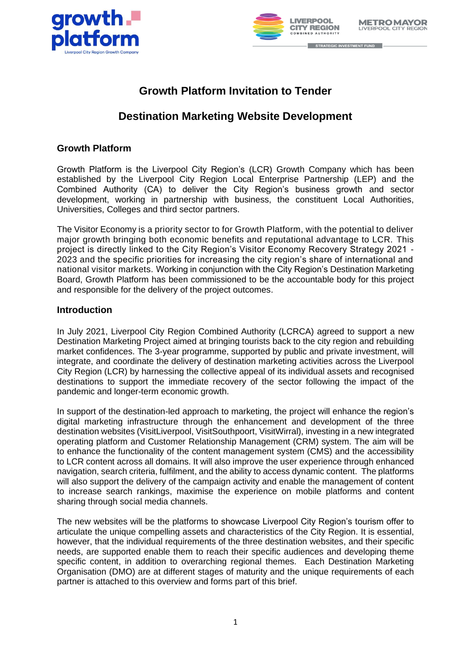



# **Growth Platform Invitation to Tender**

# **Destination Marketing Website Development**

# **Growth Platform**

Growth Platform is the Liverpool City Region's (LCR) Growth Company which has been established by the Liverpool City Region Local Enterprise Partnership (LEP) and the Combined Authority (CA) to deliver the City Region's business growth and sector development, working in partnership with business, the constituent Local Authorities, Universities, Colleges and third sector partners.

The Visitor Economy is a priority sector to for Growth Platform, with the potential to deliver major growth bringing both economic benefits and reputational advantage to LCR. This project is directly linked to the City Region's Visitor Economy Recovery Strategy 2021 - 2023 and the specific priorities for increasing the city region's share of international and national visitor markets. Working in conjunction with the City Region's Destination Marketing Board, Growth Platform has been commissioned to be the accountable body for this project and responsible for the delivery of the project outcomes.

## **Introduction**

In July 2021, Liverpool City Region Combined Authority (LCRCA) agreed to support a new Destination Marketing Project aimed at bringing tourists back to the city region and rebuilding market confidences. The 3-year programme, supported by public and private investment, will integrate, and coordinate the delivery of destination marketing activities across the Liverpool City Region (LCR) by harnessing the collective appeal of its individual assets and recognised destinations to support the immediate recovery of the sector following the impact of the pandemic and longer-term economic growth.

In support of the destination-led approach to marketing, the project will enhance the region's digital marketing infrastructure through the enhancement and development of the three destination websites (VisitLiverpool, VisitSouthpoort, VisitWirral), investing in a new integrated operating platform and Customer Relationship Management (CRM) system. The aim will be to enhance the functionality of the content management system (CMS) and the accessibility to LCR content across all domains. It will also improve the user experience through enhanced navigation, search criteria, fulfilment, and the ability to access dynamic content. The platforms will also support the delivery of the campaign activity and enable the management of content to increase search rankings, maximise the experience on mobile platforms and content sharing through social media channels.

The new websites will be the platforms to showcase Liverpool City Region's tourism offer to articulate the unique compelling assets and characteristics of the City Region. It is essential, however, that the individual requirements of the three destination websites, and their specific needs, are supported enable them to reach their specific audiences and developing theme specific content, in addition to overarching regional themes. Each Destination Marketing Organisation (DMO) are at different stages of maturity and the unique requirements of each partner is attached to this overview and forms part of this brief.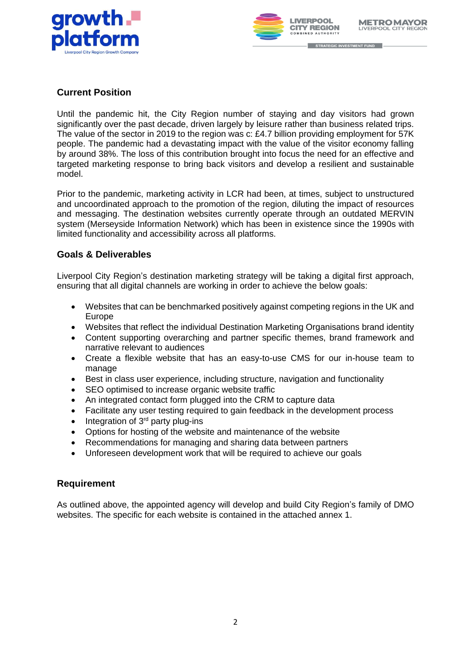



# **Current Position**

Until the pandemic hit, the City Region number of staying and day visitors had grown significantly over the past decade, driven largely by leisure rather than business related trips. The value of the sector in 2019 to the region was c: £4.7 billion providing employment for 57K people. The pandemic had a devastating impact with the value of the visitor economy falling by around 38%. The loss of this contribution brought into focus the need for an effective and targeted marketing response to bring back visitors and develop a resilient and sustainable model.

Prior to the pandemic, marketing activity in LCR had been, at times, subject to unstructured and uncoordinated approach to the promotion of the region, diluting the impact of resources and messaging. The destination websites currently operate through an outdated MERVIN system (Merseyside Information Network) which has been in existence since the 1990s with limited functionality and accessibility across all platforms.

# **Goals & Deliverables**

Liverpool City Region's destination marketing strategy will be taking a digital first approach, ensuring that all digital channels are working in order to achieve the below goals:

- Websites that can be benchmarked positively against competing regions in the UK and Europe
- Websites that reflect the individual Destination Marketing Organisations brand identity
- Content supporting overarching and partner specific themes, brand framework and narrative relevant to audiences
- Create a flexible website that has an easy-to-use CMS for our in-house team to manage
- Best in class user experience, including structure, navigation and functionality
- SEO optimised to increase organic website traffic
- An integrated contact form plugged into the CRM to capture data
- Facilitate any user testing required to gain feedback in the development process
- $\bullet$  Integration of 3<sup>rd</sup> party plug-ins
- Options for hosting of the website and maintenance of the website
- Recommendations for managing and sharing data between partners
- Unforeseen development work that will be required to achieve our goals

## **Requirement**

As outlined above, the appointed agency will develop and build City Region's family of DMO websites. The specific for each website is contained in the attached annex 1.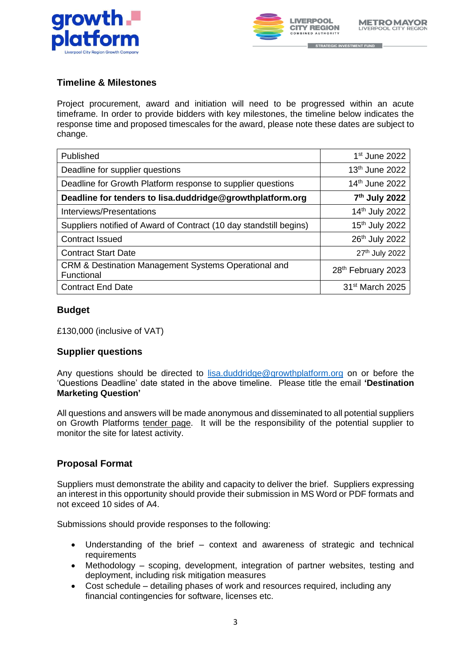



## **Timeline & Milestones**

Project procurement, award and initiation will need to be progressed within an acute timeframe. In order to provide bidders with key milestones, the timeline below indicates the response time and proposed timescales for the award, please note these dates are subject to change.

| Published                                                          | $1st$ June 2022                |
|--------------------------------------------------------------------|--------------------------------|
| Deadline for supplier questions                                    | 13 <sup>th</sup> June 2022     |
| Deadline for Growth Platform response to supplier questions        | 14th June 2022                 |
| Deadline for tenders to lisa.duddridge@growthplatform.org          | 7 <sup>th</sup> July 2022      |
| Interviews/Presentations                                           | 14th July 2022                 |
| Suppliers notified of Award of Contract (10 day standstill begins) | 15 <sup>th</sup> July 2022     |
| <b>Contract Issued</b>                                             | 26th July 2022                 |
| <b>Contract Start Date</b>                                         | 27th July 2022                 |
| CRM & Destination Management Systems Operational and<br>Functional | 28 <sup>th</sup> February 2023 |
| <b>Contract End Date</b>                                           | 31 <sup>st</sup> March 2025    |

## **Budget**

£130,000 (inclusive of VAT)

## **Supplier questions**

Any questions should be directed to [lisa.duddridge@growthplatform.org](mailto:lisa.duddridge@growthplatform.org) on or before the 'Questions Deadline' date stated in the above timeline. Please title the email **'Destination Marketing Question'**

All questions and answers will be made anonymous and disseminated to all potential suppliers on Growth Platforms [tender page.](https://growthplatform.org/tenders/) It will be the responsibility of the potential supplier to monitor the site for latest activity.

## **Proposal Format**

Suppliers must demonstrate the ability and capacity to deliver the brief. Suppliers expressing an interest in this opportunity should provide their submission in MS Word or PDF formats and not exceed 10 sides of A4.

Submissions should provide responses to the following:

- Understanding of the brief context and awareness of strategic and technical requirements
- Methodology scoping, development, integration of partner websites, testing and deployment, including risk mitigation measures
- Cost schedule detailing phases of work and resources required, including any financial contingencies for software, licenses etc.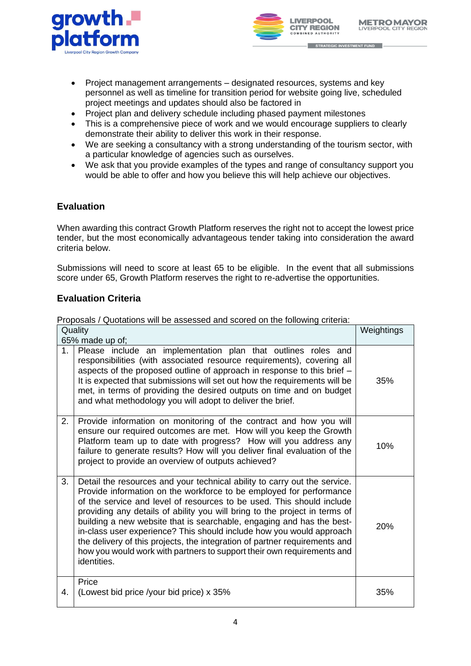



- STRATEGIC INVESTMENT FUND
- Project management arrangements designated resources, systems and key personnel as well as timeline for transition period for website going live, scheduled project meetings and updates should also be factored in
- Project plan and delivery schedule including phased payment milestones
- This is a comprehensive piece of work and we would encourage suppliers to clearly demonstrate their ability to deliver this work in their response.
- We are seeking a consultancy with a strong understanding of the tourism sector, with a particular knowledge of agencies such as ourselves.
- We ask that you provide examples of the types and range of consultancy support you would be able to offer and how you believe this will help achieve our objectives.

# **Evaluation**

When awarding this contract Growth Platform reserves the right not to accept the lowest price tender, but the most economically advantageous tender taking into consideration the award criteria below.

Submissions will need to score at least 65 to be eligible. In the event that all submissions score under 65, Growth Platform reserves the right to re-advertise the opportunities.

# **Evaluation Criteria**

Proposals / Quotations will be assessed and scored on the following criteria:

| Quality<br>65% made up of; |                                                                                                                                                                                                                                                                                                                                                                                                                                                                                                                                                                                                                                 | Weightings |
|----------------------------|---------------------------------------------------------------------------------------------------------------------------------------------------------------------------------------------------------------------------------------------------------------------------------------------------------------------------------------------------------------------------------------------------------------------------------------------------------------------------------------------------------------------------------------------------------------------------------------------------------------------------------|------------|
| 1.                         | Please include an implementation plan that outlines roles and<br>responsibilities (with associated resource requirements), covering all<br>aspects of the proposed outline of approach in response to this brief -<br>It is expected that submissions will set out how the requirements will be<br>met, in terms of providing the desired outputs on time and on budget<br>and what methodology you will adopt to deliver the brief.                                                                                                                                                                                            | 35%        |
| 2.                         | Provide information on monitoring of the contract and how you will<br>ensure our required outcomes are met. How will you keep the Growth<br>Platform team up to date with progress? How will you address any<br>failure to generate results? How will you deliver final evaluation of the<br>project to provide an overview of outputs achieved?                                                                                                                                                                                                                                                                                | 10%        |
| 3.                         | Detail the resources and your technical ability to carry out the service.<br>Provide information on the workforce to be employed for performance<br>of the service and level of resources to be used. This should include<br>providing any details of ability you will bring to the project in terms of<br>building a new website that is searchable, engaging and has the best-<br>in-class user experience? This should include how you would approach<br>the delivery of this projects, the integration of partner requirements and<br>how you would work with partners to support their own requirements and<br>identities. | 20%        |
| 4.                         | Price<br>(Lowest bid price /your bid price) x 35%                                                                                                                                                                                                                                                                                                                                                                                                                                                                                                                                                                               | 35%        |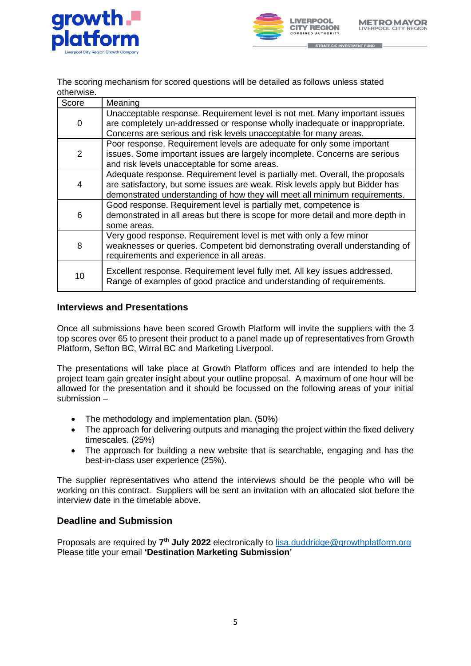



The scoring mechanism for scored questions will be detailed as follows unless stated otherwise.

| Score          | Meaning                                                                                                                                                                                                                                     |
|----------------|---------------------------------------------------------------------------------------------------------------------------------------------------------------------------------------------------------------------------------------------|
| 0              | Unacceptable response. Requirement level is not met. Many important issues<br>are completely un-addressed or response wholly inadequate or inappropriate.<br>Concerns are serious and risk levels unacceptable for many areas.              |
| $\overline{2}$ | Poor response. Requirement levels are adequate for only some important<br>issues. Some important issues are largely incomplete. Concerns are serious<br>and risk levels unacceptable for some areas.                                        |
| 4              | Adequate response. Requirement level is partially met. Overall, the proposals<br>are satisfactory, but some issues are weak. Risk levels apply but Bidder has<br>demonstrated understanding of how they will meet all minimum requirements. |
| 6              | Good response. Requirement level is partially met, competence is<br>demonstrated in all areas but there is scope for more detail and more depth in<br>some areas.                                                                           |
| 8              | Very good response. Requirement level is met with only a few minor<br>weaknesses or queries. Competent bid demonstrating overall understanding of<br>requirements and experience in all areas.                                              |
| 10             | Excellent response. Requirement level fully met. All key issues addressed.<br>Range of examples of good practice and understanding of requirements.                                                                                         |

## **Interviews and Presentations**

Once all submissions have been scored Growth Platform will invite the suppliers with the 3 top scores over 65 to present their product to a panel made up of representatives from Growth Platform, Sefton BC, Wirral BC and Marketing Liverpool.

The presentations will take place at Growth Platform offices and are intended to help the project team gain greater insight about your outline proposal. A maximum of one hour will be allowed for the presentation and it should be focussed on the following areas of your initial submission –

- The methodology and implementation plan. (50%)
- The approach for delivering outputs and managing the project within the fixed delivery timescales. (25%)
- The approach for building a new website that is searchable, engaging and has the best-in-class user experience (25%).

The supplier representatives who attend the interviews should be the people who will be working on this contract. Suppliers will be sent an invitation with an allocated slot before the interview date in the timetable above.

## **Deadline and Submission**

Proposals are required by 7<sup>th</sup> July 2022 electronically to **lisa.duddridge@growthplatform.org** Please title your email **'Destination Marketing Submission'**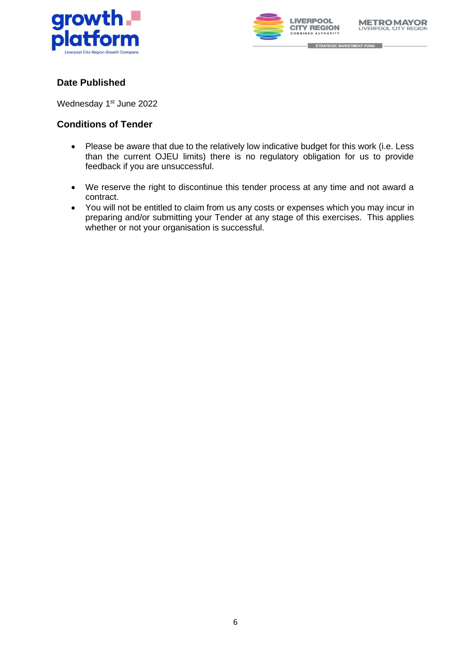



# **Date Published**

Wednesday 1<sup>st</sup> June 2022

## **Conditions of Tender**

- Please be aware that due to the relatively low indicative budget for this work (i.e. Less than the current OJEU limits) there is no regulatory obligation for us to provide feedback if you are unsuccessful.
- We reserve the right to discontinue this tender process at any time and not award a contract.
- You will not be entitled to claim from us any costs or expenses which you may incur in preparing and/or submitting your Tender at any stage of this exercises. This applies whether or not your organisation is successful.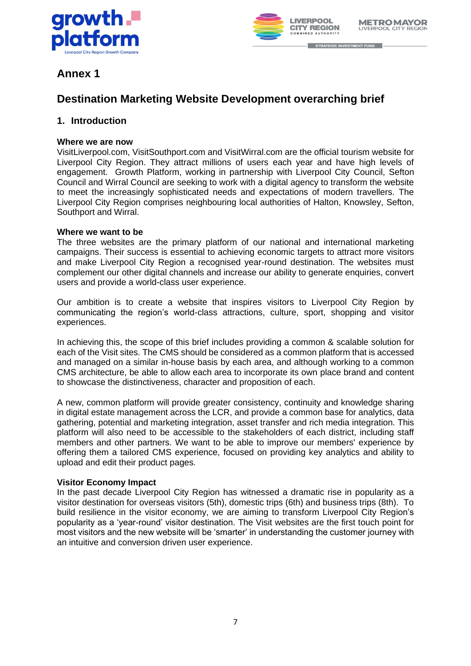



# **Annex 1**

# **Destination Marketing Website Development overarching brief**

## **1. Introduction**

## **Where we are now**

VisitLiverpool.com, VisitSouthport.com and VisitWirral.com are the official tourism website for Liverpool City Region. They attract millions of users each year and have high levels of engagement. Growth Platform, working in partnership with Liverpool City Council, Sefton Council and Wirral Council are seeking to work with a digital agency to transform the website to meet the increasingly sophisticated needs and expectations of modern travellers. The Liverpool City Region comprises neighbouring local authorities of Halton, Knowsley, Sefton, Southport and Wirral.

## **Where we want to be**

The three websites are the primary platform of our national and international marketing campaigns. Their success is essential to achieving economic targets to attract more visitors and make Liverpool City Region a recognised year-round destination. The websites must complement our other digital channels and increase our ability to generate enquiries, convert users and provide a world-class user experience.

Our ambition is to create a website that inspires visitors to Liverpool City Region by communicating the region's world-class attractions, culture, sport, shopping and visitor experiences.

In achieving this, the scope of this brief includes providing a common & scalable solution for each of the Visit sites. The CMS should be considered as a common platform that is accessed and managed on a similar in-house basis by each area, and although working to a common CMS architecture, be able to allow each area to incorporate its own place brand and content to showcase the distinctiveness, character and proposition of each.

A new, common platform will provide greater consistency, continuity and knowledge sharing in digital estate management across the LCR, and provide a common base for analytics, data gathering, potential and marketing integration, asset transfer and rich media integration. This platform will also need to be accessible to the stakeholders of each district, including staff members and other partners. We want to be able to improve our members' experience by offering them a tailored CMS experience, focused on providing key analytics and ability to upload and edit their product pages.

## **Visitor Economy Impact**

In the past decade Liverpool City Region has witnessed a dramatic rise in popularity as a visitor destination for overseas visitors (5th), domestic trips (6th) and business trips (8th). To build resilience in the visitor economy, we are aiming to transform Liverpool City Region's popularity as a 'year-round' visitor destination. The Visit websites are the first touch point for most visitors and the new website will be 'smarter' in understanding the customer journey with an intuitive and conversion driven user experience.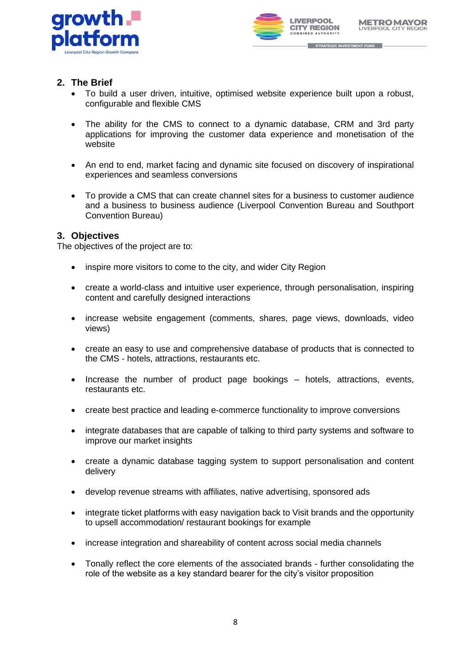



## **2. The Brief**

- To build a user driven, intuitive, optimised website experience built upon a robust, configurable and flexible CMS
- The ability for the CMS to connect to a dynamic database, CRM and 3rd party applications for improving the customer data experience and monetisation of the website
- An end to end, market facing and dynamic site focused on discovery of inspirational experiences and seamless conversions
- To provide a CMS that can create channel sites for a business to customer audience and a business to business audience (Liverpool Convention Bureau and Southport Convention Bureau)

## **3. Objectives**

The objectives of the project are to:

- inspire more visitors to come to the city, and wider City Region
- create a world-class and intuitive user experience, through personalisation, inspiring content and carefully designed interactions
- increase website engagement (comments, shares, page views, downloads, video views)
- create an easy to use and comprehensive database of products that is connected to the CMS - hotels, attractions, restaurants etc.
- Increase the number of product page bookings hotels, attractions, events, restaurants etc.
- create best practice and leading e-commerce functionality to improve conversions
- integrate databases that are capable of talking to third party systems and software to improve our market insights
- create a dynamic database tagging system to support personalisation and content delivery
- develop revenue streams with affiliates, native advertising, sponsored ads
- integrate ticket platforms with easy navigation back to Visit brands and the opportunity to upsell accommodation/ restaurant bookings for example
- increase integration and shareability of content across social media channels
- Tonally reflect the core elements of the associated brands further consolidating the role of the website as a key standard bearer for the city's visitor proposition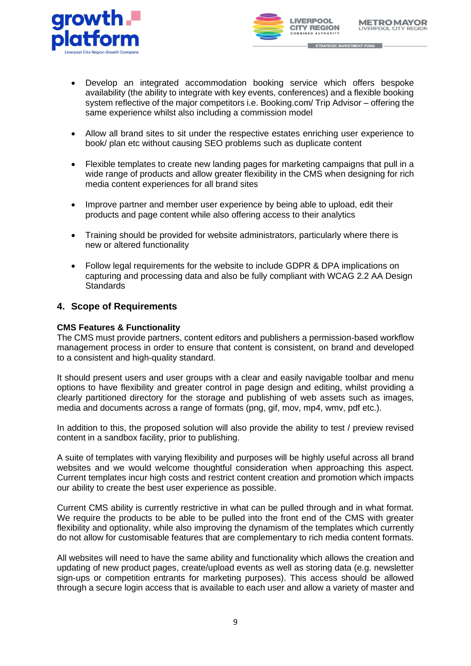



- STRATEGIC INVESTMENT FUND
- Develop an integrated accommodation booking service which offers bespoke availability (the ability to integrate with key events, conferences) and a flexible booking system reflective of the major competitors i.e. Booking.com/ Trip Advisor – offering the same experience whilst also including a commission model
- Allow all brand sites to sit under the respective estates enriching user experience to book/ plan etc without causing SEO problems such as duplicate content
- Flexible templates to create new landing pages for marketing campaigns that pull in a wide range of products and allow greater flexibility in the CMS when designing for rich media content experiences for all brand sites
- Improve partner and member user experience by being able to upload, edit their products and page content while also offering access to their analytics
- Training should be provided for website administrators, particularly where there is new or altered functionality
- Follow legal requirements for the website to include GDPR & DPA implications on capturing and processing data and also be fully compliant with WCAG 2.2 AA Design **Standards**

## **4. Scope of Requirements**

## **CMS Features & Functionality**

The CMS must provide partners, content editors and publishers a permission-based workflow management process in order to ensure that content is consistent, on brand and developed to a consistent and high-quality standard.

It should present users and user groups with a clear and easily navigable toolbar and menu options to have flexibility and greater control in page design and editing, whilst providing a clearly partitioned directory for the storage and publishing of web assets such as images, media and documents across a range of formats (png, gif, mov, mp4, wmv, pdf etc.).

In addition to this, the proposed solution will also provide the ability to test / preview revised content in a sandbox facility, prior to publishing.

A suite of templates with varying flexibility and purposes will be highly useful across all brand websites and we would welcome thoughtful consideration when approaching this aspect. Current templates incur high costs and restrict content creation and promotion which impacts our ability to create the best user experience as possible.

Current CMS ability is currently restrictive in what can be pulled through and in what format. We require the products to be able to be pulled into the front end of the CMS with greater flexibility and optionality, while also improving the dynamism of the templates which currently do not allow for customisable features that are complementary to rich media content formats.

All websites will need to have the same ability and functionality which allows the creation and updating of new product pages, create/upload events as well as storing data (e.g. newsletter sign-ups or competition entrants for marketing purposes). This access should be allowed through a secure login access that is available to each user and allow a variety of master and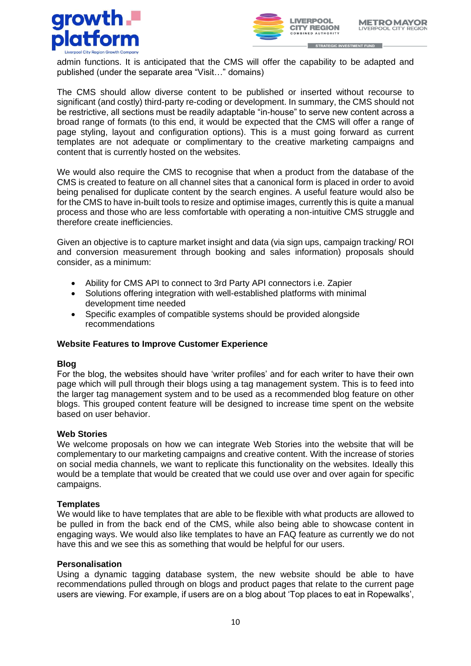



admin functions. It is anticipated that the CMS will offer the capability to be adapted and published (under the separate area "Visit…" domains)

The CMS should allow diverse content to be published or inserted without recourse to significant (and costly) third-party re-coding or development. In summary, the CMS should not be restrictive, all sections must be readily adaptable "in-house" to serve new content across a broad range of formats (to this end, it would be expected that the CMS will offer a range of page styling, layout and configuration options). This is a must going forward as current templates are not adequate or complimentary to the creative marketing campaigns and content that is currently hosted on the websites.

We would also require the CMS to recognise that when a product from the database of the CMS is created to feature on all channel sites that a canonical form is placed in order to avoid being penalised for duplicate content by the search engines. A useful feature would also be for the CMS to have in-built tools to resize and optimise images, currently this is quite a manual process and those who are less comfortable with operating a non-intuitive CMS struggle and therefore create inefficiencies.

Given an objective is to capture market insight and data (via sign ups, campaign tracking/ ROI and conversion measurement through booking and sales information) proposals should consider, as a minimum:

- Ability for CMS API to connect to 3rd Party API connectors i.e. Zapier
- Solutions offering integration with well-established platforms with minimal development time needed
- Specific examples of compatible systems should be provided alongside recommendations

## **Website Features to Improve Customer Experience**

#### **Blog**

For the blog, the websites should have 'writer profiles' and for each writer to have their own page which will pull through their blogs using a tag management system. This is to feed into the larger tag management system and to be used as a recommended blog feature on other blogs. This grouped content feature will be designed to increase time spent on the website based on user behavior.

#### **Web Stories**

We welcome proposals on how we can integrate Web Stories into the website that will be complementary to our marketing campaigns and creative content. With the increase of stories on social media channels, we want to replicate this functionality on the websites. Ideally this would be a template that would be created that we could use over and over again for specific campaigns.

#### **Templates**

We would like to have templates that are able to be flexible with what products are allowed to be pulled in from the back end of the CMS, while also being able to showcase content in engaging ways. We would also like templates to have an FAQ feature as currently we do not have this and we see this as something that would be helpful for our users.

#### **Personalisation**

Using a dynamic tagging database system, the new website should be able to have recommendations pulled through on blogs and product pages that relate to the current page users are viewing. For example, if users are on a blog about 'Top places to eat in Ropewalks',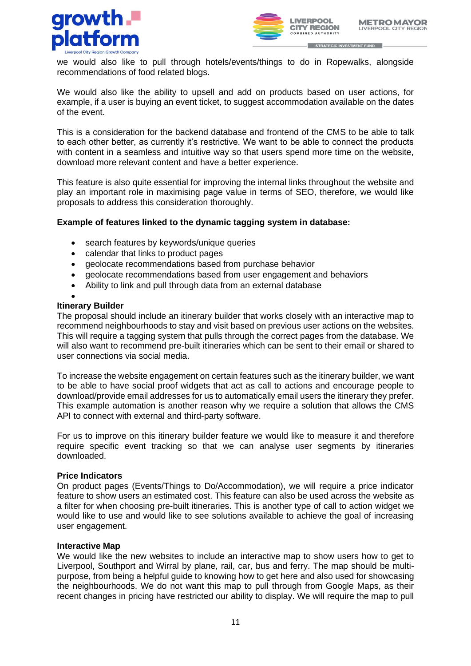



we would also like to pull through hotels/events/things to do in Ropewalks, alongside recommendations of food related blogs.

We would also like the ability to upsell and add on products based on user actions, for example, if a user is buying an event ticket, to suggest accommodation available on the dates of the event.

This is a consideration for the backend database and frontend of the CMS to be able to talk to each other better, as currently it's restrictive. We want to be able to connect the products with content in a seamless and intuitive way so that users spend more time on the website, download more relevant content and have a better experience.

This feature is also quite essential for improving the internal links throughout the website and play an important role in maximising page value in terms of SEO, therefore, we would like proposals to address this consideration thoroughly.

## **Example of features linked to the dynamic tagging system in database:**

- search features by keywords/unique queries
- calendar that links to product pages
- geolocate recommendations based from purchase behavior
- geolocate recommendations based from user engagement and behaviors
- Ability to link and pull through data from an external database
- •

#### **Itinerary Builder**

The proposal should include an itinerary builder that works closely with an interactive map to recommend neighbourhoods to stay and visit based on previous user actions on the websites. This will require a tagging system that pulls through the correct pages from the database. We will also want to recommend pre-built itineraries which can be sent to their email or shared to user connections via social media.

To increase the website engagement on certain features such as the itinerary builder, we want to be able to have social proof widgets that act as call to actions and encourage people to download/provide email addresses for us to automatically email users the itinerary they prefer. This example automation is another reason why we require a solution that allows the CMS API to connect with external and third-party software.

For us to improve on this itinerary builder feature we would like to measure it and therefore require specific event tracking so that we can analyse user segments by itineraries downloaded.

#### **Price Indicators**

On product pages (Events/Things to Do/Accommodation), we will require a price indicator feature to show users an estimated cost. This feature can also be used across the website as a filter for when choosing pre-built itineraries. This is another type of call to action widget we would like to use and would like to see solutions available to achieve the goal of increasing user engagement.

#### **Interactive Map**

We would like the new websites to include an interactive map to show users how to get to Liverpool, Southport and Wirral by plane, rail, car, bus and ferry. The map should be multipurpose, from being a helpful guide to knowing how to get here and also used for showcasing the neighbourhoods. We do not want this map to pull through from Google Maps, as their recent changes in pricing have restricted our ability to display. We will require the map to pull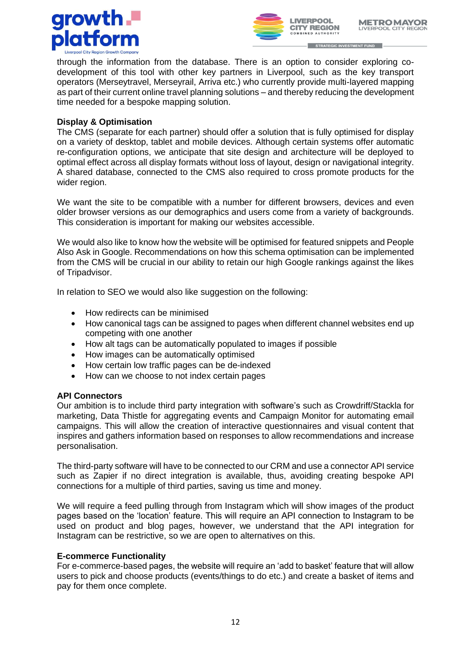



through the information from the database. There is an option to consider exploring codevelopment of this tool with other key partners in Liverpool, such as the key transport operators (Merseytravel, Merseyrail, Arriva etc.) who currently provide multi-layered mapping as part of their current online travel planning solutions – and thereby reducing the development time needed for a bespoke mapping solution.

## **Display & Optimisation**

The CMS (separate for each partner) should offer a solution that is fully optimised for display on a variety of desktop, tablet and mobile devices. Although certain systems offer automatic re-configuration options, we anticipate that site design and architecture will be deployed to optimal effect across all display formats without loss of layout, design or navigational integrity. A shared database, connected to the CMS also required to cross promote products for the wider region.

We want the site to be compatible with a number for different browsers, devices and even older browser versions as our demographics and users come from a variety of backgrounds. This consideration is important for making our websites accessible.

We would also like to know how the website will be optimised for featured snippets and People Also Ask in Google. Recommendations on how this schema optimisation can be implemented from the CMS will be crucial in our ability to retain our high Google rankings against the likes of Tripadvisor.

In relation to SEO we would also like suggestion on the following:

- How redirects can be minimised
- How canonical tags can be assigned to pages when different channel websites end up competing with one another
- How alt tags can be automatically populated to images if possible
- How images can be automatically optimised
- How certain low traffic pages can be de-indexed
- How can we choose to not index certain pages

## **API Connectors**

Our ambition is to include third party integration with software's such as Crowdriff/Stackla for marketing, Data Thistle for aggregating events and Campaign Monitor for automating email campaigns. This will allow the creation of interactive questionnaires and visual content that inspires and gathers information based on responses to allow recommendations and increase personalisation.

The third-party software will have to be connected to our CRM and use a connector API service such as Zapier if no direct integration is available, thus, avoiding creating bespoke API connections for a multiple of third parties, saving us time and money.

We will require a feed pulling through from Instagram which will show images of the product pages based on the 'location' feature. This will require an API connection to Instagram to be used on product and blog pages, however, we understand that the API integration for Instagram can be restrictive, so we are open to alternatives on this.

## **E-commerce Functionality**

For e-commerce-based pages, the website will require an 'add to basket' feature that will allow users to pick and choose products (events/things to do etc.) and create a basket of items and pay for them once complete.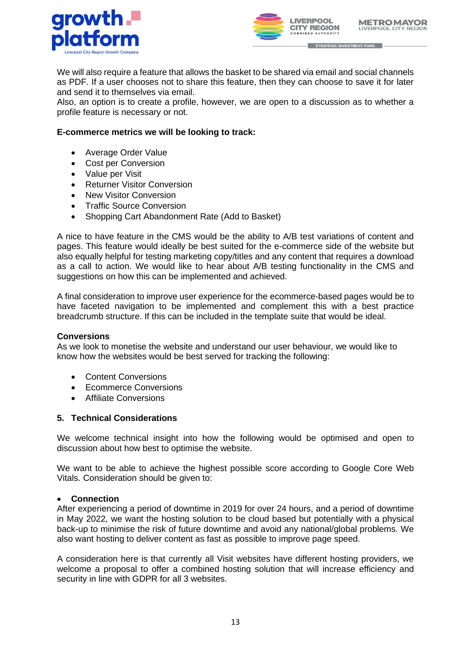



We will also require a feature that allows the basket to be shared via email and social channels as PDF. If a user chooses not to share this feature, then they can choose to save it for later and send it to themselves via email.

Also, an option is to create a profile, however, we are open to a discussion as to whether a profile feature is necessary or not.

## **E-commerce metrics we will be looking to track:**

- Average Order Value
- Cost per Conversion
- Value per Visit
- Returner Visitor Conversion
- **New Visitor Conversion**
- Traffic Source Conversion
- Shopping Cart Abandonment Rate (Add to Basket)

A nice to have feature in the CMS would be the ability to A/B test variations of content and pages. This feature would ideally be best suited for the e-commerce side of the website but also equally helpful for testing marketing copy/titles and any content that requires a download as a call to action. We would like to hear about A/B testing functionality in the CMS and suggestions on how this can be implemented and achieved.

A final consideration to improve user experience for the ecommerce-based pages would be to have faceted navigation to be implemented and complement this with a best practice breadcrumb structure. If this can be included in the template suite that would be ideal.

#### **Conversions**

As we look to monetise the website and understand our user behaviour, we would like to know how the websites would be best served for tracking the following:

- **Content Conversions**
- Ecommerce Conversions
- Affiliate Conversions

#### **5. Technical Considerations**

We welcome technical insight into how the following would be optimised and open to discussion about how best to optimise the website.

We want to be able to achieve the highest possible score according to Google Core Web Vitals. Consideration should be given to:

#### • **Connection**

After experiencing a period of downtime in 2019 for over 24 hours, and a period of downtime in May 2022, we want the hosting solution to be cloud based but potentially with a physical back-up to minimise the risk of future downtime and avoid any national/global problems. We also want hosting to deliver content as fast as possible to improve page speed.

A consideration here is that currently all Visit websites have different hosting providers, we welcome a proposal to offer a combined hosting solution that will increase efficiency and security in line with GDPR for all 3 websites.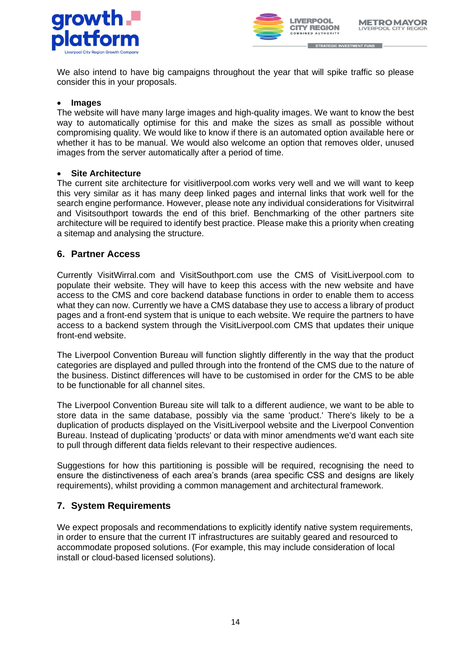



We also intend to have big campaigns throughout the year that will spike traffic so please consider this in your proposals.

#### • **Images**

The website will have many large images and high-quality images. We want to know the best way to automatically optimise for this and make the sizes as small as possible without compromising quality. We would like to know if there is an automated option available here or whether it has to be manual. We would also welcome an option that removes older, unused images from the server automatically after a period of time.

## • **Site Architecture**

The current site architecture for visitliverpool.com works very well and we will want to keep this very similar as it has many deep linked pages and internal links that work well for the search engine performance. However, please note any individual considerations for Visitwirral and Visitsouthport towards the end of this brief. Benchmarking of the other partners site architecture will be required to identify best practice. Please make this a priority when creating a sitemap and analysing the structure.

## **6. Partner Access**

Currently VisitWirral.com and VisitSouthport.com use the CMS of VisitLiverpool.com to populate their website. They will have to keep this access with the new website and have access to the CMS and core backend database functions in order to enable them to access what they can now. Currently we have a CMS database they use to access a library of product pages and a front-end system that is unique to each website. We require the partners to have access to a backend system through the VisitLiverpool.com CMS that updates their unique front-end website.

The Liverpool Convention Bureau will function slightly differently in the way that the product categories are displayed and pulled through into the frontend of the CMS due to the nature of the business. Distinct differences will have to be customised in order for the CMS to be able to be functionable for all channel sites.

The Liverpool Convention Bureau site will talk to a different audience, we want to be able to store data in the same database, possibly via the same 'product.' There's likely to be a duplication of products displayed on the VisitLiverpool website and the Liverpool Convention Bureau. Instead of duplicating 'products' or data with minor amendments we'd want each site to pull through different data fields relevant to their respective audiences.

Suggestions for how this partitioning is possible will be required, recognising the need to ensure the distinctiveness of each area's brands (area specific CSS and designs are likely requirements), whilst providing a common management and architectural framework.

## **7. System Requirements**

We expect proposals and recommendations to explicitly identify native system requirements, in order to ensure that the current IT infrastructures are suitably geared and resourced to accommodate proposed solutions. (For example, this may include consideration of local install or cloud-based licensed solutions).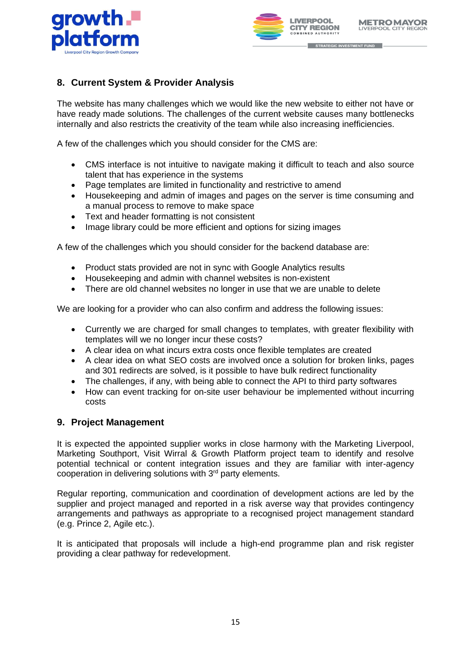



# **8. Current System & Provider Analysis**

The website has many challenges which we would like the new website to either not have or have ready made solutions. The challenges of the current website causes many bottlenecks internally and also restricts the creativity of the team while also increasing inefficiencies.

A few of the challenges which you should consider for the CMS are:

- CMS interface is not intuitive to navigate making it difficult to teach and also source talent that has experience in the systems
- Page templates are limited in functionality and restrictive to amend
- Housekeeping and admin of images and pages on the server is time consuming and a manual process to remove to make space
- Text and header formatting is not consistent
- Image library could be more efficient and options for sizing images

A few of the challenges which you should consider for the backend database are:

- Product stats provided are not in sync with Google Analytics results
- Housekeeping and admin with channel websites is non-existent
- There are old channel websites no longer in use that we are unable to delete

We are looking for a provider who can also confirm and address the following issues:

- Currently we are charged for small changes to templates, with greater flexibility with templates will we no longer incur these costs?
- A clear idea on what incurs extra costs once flexible templates are created
- A clear idea on what SEO costs are involved once a solution for broken links, pages and 301 redirects are solved, is it possible to have bulk redirect functionality
- The challenges, if any, with being able to connect the API to third party softwares
- How can event tracking for on-site user behaviour be implemented without incurring costs

## **9. Project Management**

It is expected the appointed supplier works in close harmony with the Marketing Liverpool, Marketing Southport, Visit Wirral & Growth Platform project team to identify and resolve potential technical or content integration issues and they are familiar with inter-agency cooperation in delivering solutions with 3rd party elements.

Regular reporting, communication and coordination of development actions are led by the supplier and project managed and reported in a risk averse way that provides contingency arrangements and pathways as appropriate to a recognised project management standard (e.g. Prince 2, Agile etc.).

It is anticipated that proposals will include a high-end programme plan and risk register providing a clear pathway for redevelopment.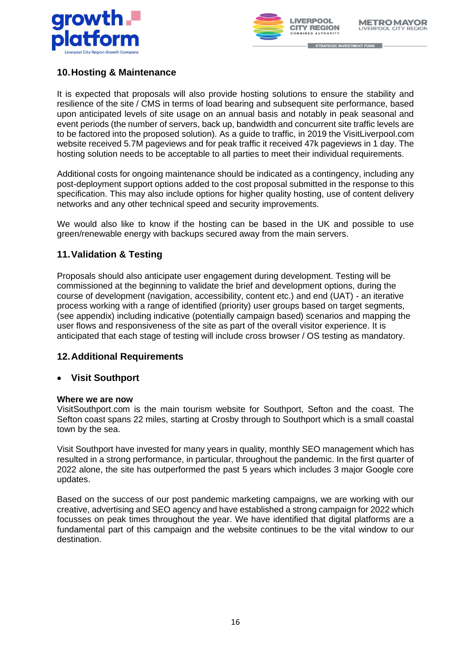



# **10.Hosting & Maintenance**

It is expected that proposals will also provide hosting solutions to ensure the stability and resilience of the site / CMS in terms of load bearing and subsequent site performance, based upon anticipated levels of site usage on an annual basis and notably in peak seasonal and event periods (the number of servers, back up, bandwidth and concurrent site traffic levels are to be factored into the proposed solution). As a guide to traffic, in 2019 the VisitLiverpool.com website received 5.7M pageviews and for peak traffic it received 47k pageviews in 1 day. The hosting solution needs to be acceptable to all parties to meet their individual requirements.

Additional costs for ongoing maintenance should be indicated as a contingency, including any post-deployment support options added to the cost proposal submitted in the response to this specification. This may also include options for higher quality hosting, use of content delivery networks and any other technical speed and security improvements.

We would also like to know if the hosting can be based in the UK and possible to use green/renewable energy with backups secured away from the main servers.

# **11.Validation & Testing**

Proposals should also anticipate user engagement during development. Testing will be commissioned at the beginning to validate the brief and development options, during the course of development (navigation, accessibility, content etc.) and end (UAT) - an iterative process working with a range of identified (priority) user groups based on target segments, (see appendix) including indicative (potentially campaign based) scenarios and mapping the user flows and responsiveness of the site as part of the overall visitor experience. It is anticipated that each stage of testing will include cross browser / OS testing as mandatory.

# **12.Additional Requirements**

## • **Visit Southport**

## **Where we are now**

VisitSouthport.com is the main tourism website for Southport, Sefton and the coast. The Sefton coast spans 22 miles, starting at Crosby through to Southport which is a small coastal town by the sea.

Visit Southport have invested for many years in quality, monthly SEO management which has resulted in a strong performance, in particular, throughout the pandemic. In the first quarter of 2022 alone, the site has outperformed the past 5 years which includes 3 major Google core updates.

Based on the success of our post pandemic marketing campaigns, we are working with our creative, advertising and SEO agency and have established a strong campaign for 2022 which focusses on peak times throughout the year. We have identified that digital platforms are a fundamental part of this campaign and the website continues to be the vital window to our destination.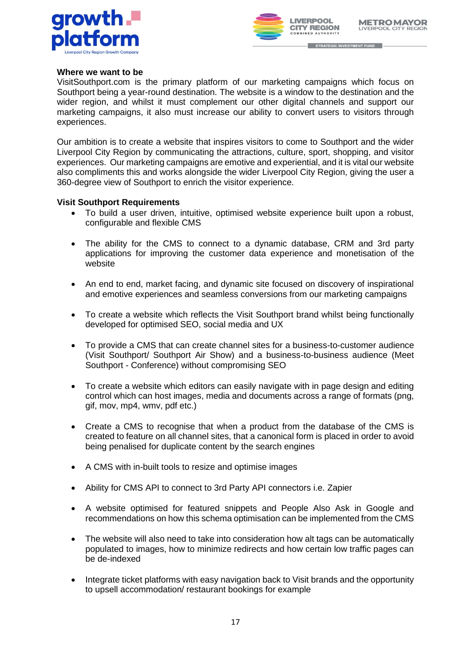



#### **Where we want to be**

VisitSouthport.com is the primary platform of our marketing campaigns which focus on Southport being a year-round destination. The website is a window to the destination and the wider region, and whilst it must complement our other digital channels and support our marketing campaigns, it also must increase our ability to convert users to visitors through experiences.

Our ambition is to create a website that inspires visitors to come to Southport and the wider Liverpool City Region by communicating the attractions, culture, sport, shopping, and visitor experiences. Our marketing campaigns are emotive and experiential, and it is vital our website also compliments this and works alongside the wider Liverpool City Region, giving the user a 360-degree view of Southport to enrich the visitor experience.

#### **Visit Southport Requirements**

- To build a user driven, intuitive, optimised website experience built upon a robust, configurable and flexible CMS
- The ability for the CMS to connect to a dynamic database, CRM and 3rd party applications for improving the customer data experience and monetisation of the website
- An end to end, market facing, and dynamic site focused on discovery of inspirational and emotive experiences and seamless conversions from our marketing campaigns
- To create a website which reflects the Visit Southport brand whilst being functionally developed for optimised SEO, social media and UX
- To provide a CMS that can create channel sites for a business-to-customer audience (Visit Southport/ Southport Air Show) and a business-to-business audience (Meet Southport - Conference) without compromising SEO
- To create a website which editors can easily navigate with in page design and editing control which can host images, media and documents across a range of formats (png, gif, mov, mp4, wmv, pdf etc.)
- Create a CMS to recognise that when a product from the database of the CMS is created to feature on all channel sites, that a canonical form is placed in order to avoid being penalised for duplicate content by the search engines
- A CMS with in-built tools to resize and optimise images
- Ability for CMS API to connect to 3rd Party API connectors i.e. Zapier
- A website optimised for featured snippets and People Also Ask in Google and recommendations on how this schema optimisation can be implemented from the CMS
- The website will also need to take into consideration how alt tags can be automatically populated to images, how to minimize redirects and how certain low traffic pages can be de-indexed
- Integrate ticket platforms with easy navigation back to Visit brands and the opportunity to upsell accommodation/ restaurant bookings for example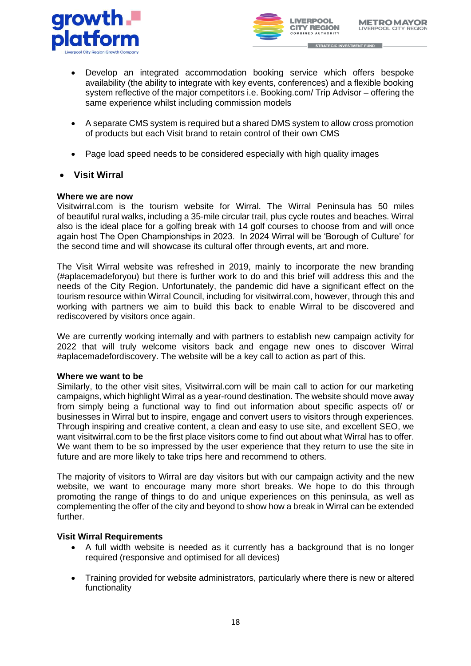



- STRATEGIC INVESTMENT FUND
- Develop an integrated accommodation booking service which offers bespoke availability (the ability to integrate with key events, conferences) and a flexible booking system reflective of the major competitors i.e. Booking.com/ Trip Advisor – offering the same experience whilst including commission models
- A separate CMS system is required but a shared DMS system to allow cross promotion of products but each Visit brand to retain control of their own CMS
- Page load speed needs to be considered especially with high quality images
- **Visit Wirral**

## **Where we are now**

Visitwirral.com is the tourism website for Wirral. The Wirral Peninsula has 50 miles of beautiful rural walks, including a 35-mile circular trail, plus cycle routes and beaches. Wirral also is the ideal place for a golfing break with 14 golf courses to choose from and will once again host The Open Championships in 2023. In 2024 Wirral will be 'Borough of Culture' for the second time and will showcase its cultural offer through events, art and more.

The Visit Wirral website was refreshed in 2019, mainly to incorporate the new branding (#aplacemadeforyou) but there is further work to do and this brief will address this and the needs of the City Region. Unfortunately, the pandemic did have a significant effect on the tourism resource within Wirral Council, including for visitwirral.com, however, through this and working with partners we aim to build this back to enable Wirral to be discovered and rediscovered by visitors once again.

We are currently working internally and with partners to establish new campaign activity for 2022 that will truly welcome visitors back and engage new ones to discover Wirral #aplacemadefordiscovery. The website will be a key call to action as part of this.

#### **Where we want to be**

Similarly, to the other visit sites, Visitwirral.com will be main call to action for our marketing campaigns, which highlight Wirral as a year-round destination. The website should move away from simply being a functional way to find out information about specific aspects of/ or businesses in Wirral but to inspire, engage and convert users to visitors through experiences. Through inspiring and creative content, a clean and easy to use site, and excellent SEO, we want visitwirral.com to be the first place visitors come to find out about what Wirral has to offer. We want them to be so impressed by the user experience that they return to use the site in future and are more likely to take trips here and recommend to others.

The majority of visitors to Wirral are day visitors but with our campaign activity and the new website, we want to encourage many more short breaks. We hope to do this through promoting the range of things to do and unique experiences on this peninsula, as well as complementing the offer of the city and beyond to show how a break in Wirral can be extended further.

## **Visit Wirral Requirements**

- A full width website is needed as it currently has a background that is no longer required (responsive and optimised for all devices)
- Training provided for website administrators, particularly where there is new or altered functionality